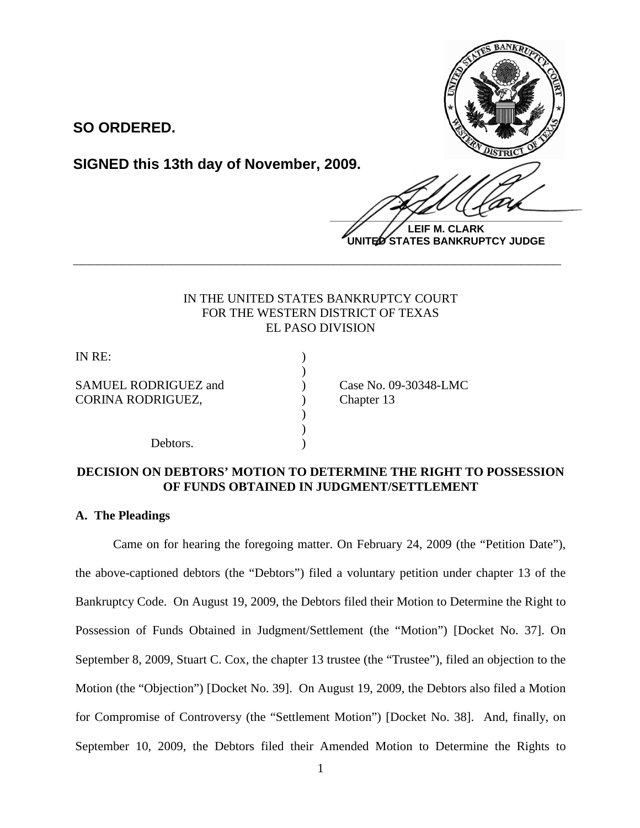

**SO ORDERED.**

**SIGNED this 13th day of November, 2009.**

 $\frac{1}{2}$ 

**LEIF M. CLARK UNITED STATES BANKRUPTCY JUDGE**

# IN THE UNITED STATES BANKRUPTCY COURT FOR THE WESTERN DISTRICT OF TEXAS EL PASO DIVISION

**\_\_\_\_\_\_\_\_\_\_\_\_\_\_\_\_\_\_\_\_\_\_\_\_\_\_\_\_\_\_\_\_\_\_\_\_\_\_\_\_\_\_\_\_\_\_\_\_\_\_\_\_\_\_\_\_\_\_\_\_**

)

) )

IN RE: )

SAMUEL RODRIGUEZ and <br>
(ase No. 09-30348-LMC) CORINA RODRIGUEZ, CORINA RODRIGUEZ,

Debtors.

## **DECISION ON DEBTORS' MOTION TO DETERMINE THE RIGHT TO POSSESSION OF FUNDS OBTAINED IN JUDGMENT/SETTLEMENT**

## **A. The Pleadings**

Came on for hearing the foregoing matter. On February 24, 2009 (the "Petition Date"), the above-captioned debtors (the "Debtors") filed a voluntary petition under chapter 13 of the Bankruptcy Code. On August 19, 2009, the Debtors filed their Motion to Determine the Right to Possession of Funds Obtained in Judgment/Settlement (the "Motion") [Docket No. 37]. On September 8, 2009, Stuart C. Cox, the chapter 13 trustee (the "Trustee"), filed an objection to the Motion (the "Objection") [Docket No. 39]. On August 19, 2009, the Debtors also filed a Motion for Compromise of Controversy (the "Settlement Motion") [Docket No. 38]. And, finally, on September 10, 2009, the Debtors filed their Amended Motion to Determine the Rights to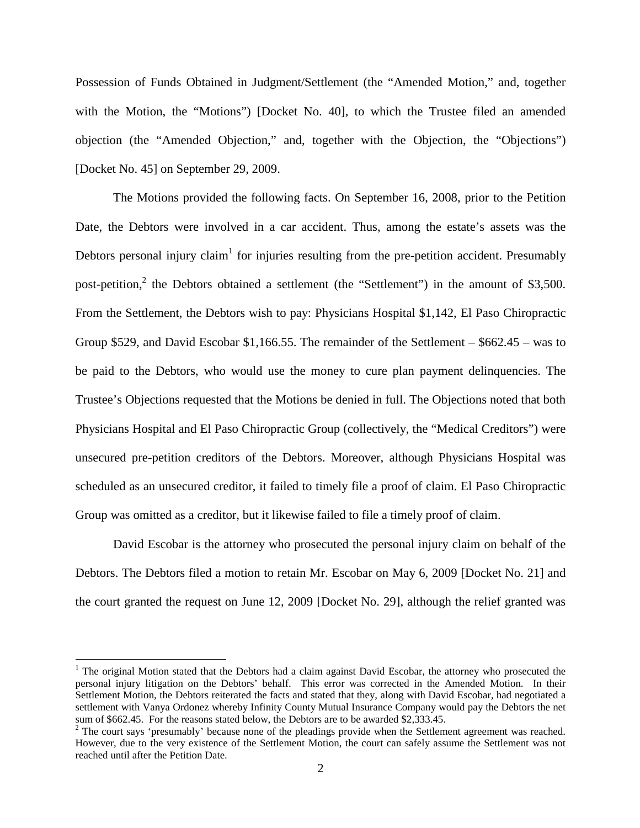Possession of Funds Obtained in Judgment/Settlement (the "Amended Motion," and, together with the Motion, the "Motions") [Docket No. 40], to which the Trustee filed an amended objection (the "Amended Objection," and, together with the Objection, the "Objections") [Docket No. 45] on September 29, 2009.

The Motions provided the following facts. On September 16, 2008, prior to the Petition Date, the Debtors were involved in a car accident. Thus, among the estate's assets was the Debtors personal injury claim<sup>1</sup> for injuries resulting from the pre-petition accident. Presumably post-petition,<sup>2</sup> the Debtors obtained a settlement (the "Settlement") in the amount of \$3,500. From the Settlement, the Debtors wish to pay: Physicians Hospital \$1,142, El Paso Chiropractic Group \$529, and David Escobar \$1,166.55. The remainder of the Settlement – \$662.45 – was to be paid to the Debtors, who would use the money to cure plan payment delinquencies. The Trustee's Objections requested that the Motions be denied in full. The Objections noted that both Physicians Hospital and El Paso Chiropractic Group (collectively, the "Medical Creditors") were unsecured pre-petition creditors of the Debtors. Moreover, although Physicians Hospital was scheduled as an unsecured creditor, it failed to timely file a proof of claim. El Paso Chiropractic Group was omitted as a creditor, but it likewise failed to file a timely proof of claim.

David Escobar is the attorney who prosecuted the personal injury claim on behalf of the Debtors. The Debtors filed a motion to retain Mr. Escobar on May 6, 2009 [Docket No. 21] and the court granted the request on June 12, 2009 [Docket No. 29], although the relief granted was

<sup>&</sup>lt;sup>1</sup> The original Motion stated that the Debtors had a claim against David Escobar, the attorney who prosecuted the personal injury litigation on the Debtors' behalf. This error was corrected in the Amended Motion. In their Settlement Motion, the Debtors reiterated the facts and stated that they, along with David Escobar, had negotiated a settlement with Vanya Ordonez whereby Infinity County Mutual Insurance Company would pay the Debtors the net sum of \$662.45. For the reasons stated below, the Debtors are to be awarded \$2,333.45.

 $3<sup>2</sup>$  The court says 'presumably' because none of the pleadings provide when the Settlement agreement was reached. However, due to the very existence of the Settlement Motion, the court can safely assume the Settlement was not reached until after the Petition Date.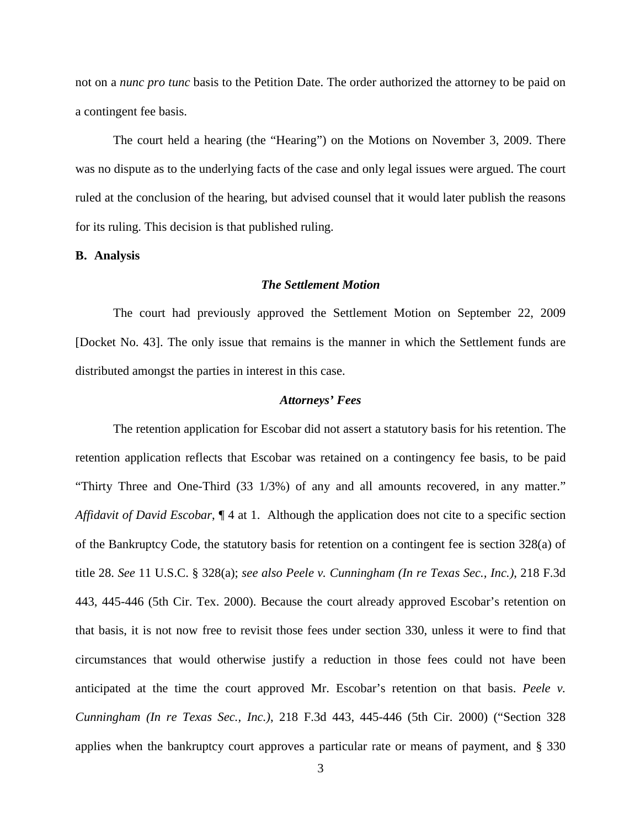not on a *nunc pro tunc* basis to the Petition Date. The order authorized the attorney to be paid on a contingent fee basis.

The court held a hearing (the "Hearing") on the Motions on November 3, 2009. There was no dispute as to the underlying facts of the case and only legal issues were argued. The court ruled at the conclusion of the hearing, but advised counsel that it would later publish the reasons for its ruling. This decision is that published ruling.

#### **B. Analysis**

#### *The Settlement Motion*

The court had previously approved the Settlement Motion on September 22, 2009 [Docket No. 43]. The only issue that remains is the manner in which the Settlement funds are distributed amongst the parties in interest in this case.

#### *Attorneys' Fees*

The retention application for Escobar did not assert a statutory basis for his retention. The retention application reflects that Escobar was retained on a contingency fee basis, to be paid "Thirty Three and One-Third (33 1/3%) of any and all amounts recovered, in any matter." *Affidavit of David Escobar*, ¶ 4 at 1. Although the application does not cite to a specific section of the Bankruptcy Code, the statutory basis for retention on a contingent fee is section 328(a) of title 28. *See* 11 U.S.C. § 328(a); *see also Peele v. Cunningham (In re Texas Sec., Inc.)*, 218 F.3d 443, 445-446 (5th Cir. Tex. 2000). Because the court already approved Escobar's retention on that basis, it is not now free to revisit those fees under section 330, unless it were to find that circumstances that would otherwise justify a reduction in those fees could not have been anticipated at the time the court approved Mr. Escobar's retention on that basis. *Peele v. Cunningham (In re Texas Sec., Inc.)*, 218 F.3d 443, 445-446 (5th Cir. 2000) ("Section 328 applies when the bankruptcy court approves a particular rate or means of payment, and § 330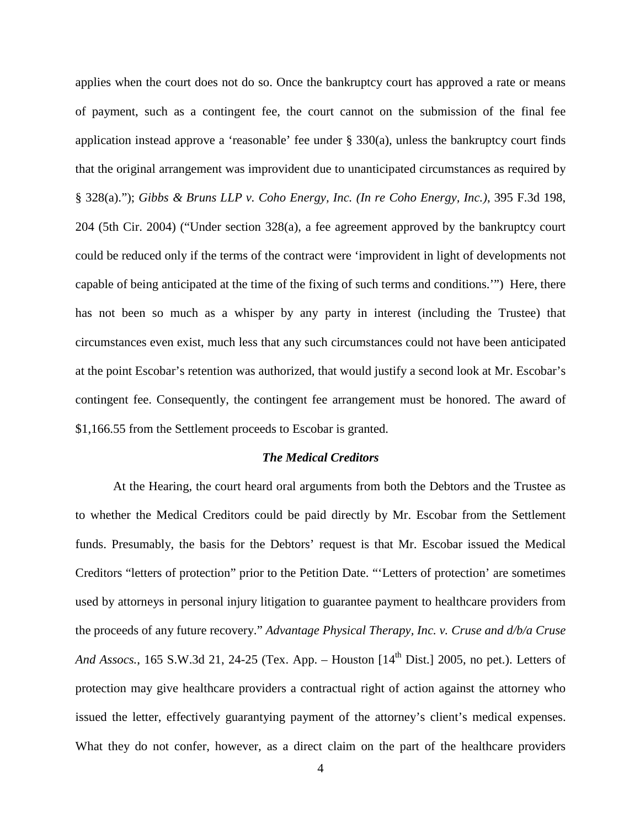applies when the court does not do so. Once the bankruptcy court has approved a rate or means of payment, such as a contingent fee, the court cannot on the submission of the final fee application instead approve a 'reasonable' fee under  $\S$  330(a), unless the bankruptcy court finds that the original arrangement was improvident due to unanticipated circumstances as required by § 328(a)."); *Gibbs & Bruns LLP v. Coho Energy, Inc. (In re Coho Energy, Inc.)*, 395 F.3d 198, 204 (5th Cir. 2004) ("Under section 328(a), a fee agreement approved by the bankruptcy court could be reduced only if the terms of the contract were 'improvident in light of developments not capable of being anticipated at the time of the fixing of such terms and conditions.'") Here, there has not been so much as a whisper by any party in interest (including the Trustee) that circumstances even exist, much less that any such circumstances could not have been anticipated at the point Escobar's retention was authorized, that would justify a second look at Mr. Escobar's contingent fee. Consequently, the contingent fee arrangement must be honored. The award of \$1,166.55 from the Settlement proceeds to Escobar is granted.

### *The Medical Creditors*

At the Hearing, the court heard oral arguments from both the Debtors and the Trustee as to whether the Medical Creditors could be paid directly by Mr. Escobar from the Settlement funds. Presumably, the basis for the Debtors' request is that Mr. Escobar issued the Medical Creditors "letters of protection" prior to the Petition Date. "'Letters of protection' are sometimes used by attorneys in personal injury litigation to guarantee payment to healthcare providers from the proceeds of any future recovery." *Advantage Physical Therapy, Inc. v. Cruse and d/b/a Cruse And Assocs.*, 165 S.W.3d 21, 24-25 (Tex. App. – Houston [14<sup>th</sup> Dist.] 2005, no pet.). Letters of protection may give healthcare providers a contractual right of action against the attorney who issued the letter, effectively guarantying payment of the attorney's client's medical expenses. What they do not confer, however, as a direct claim on the part of the healthcare providers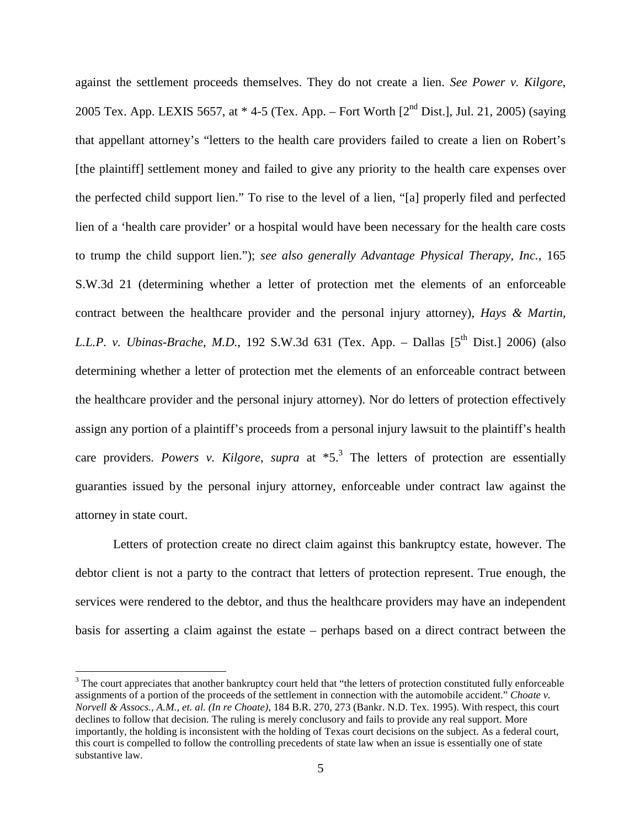against the settlement proceeds themselves. They do not create a lien. *See Power v. Kilgore*, 2005 Tex. App. LEXIS 5657, at  $*$  4-5 (Tex. App. – Fort Worth [2<sup>nd</sup> Dist.], Jul. 21, 2005) (saying that appellant attorney's "letters to the health care providers failed to create a lien on Robert's [the plaintiff] settlement money and failed to give any priority to the health care expenses over the perfected child support lien." To rise to the level of a lien, "[a] properly filed and perfected lien of a 'health care provider' or a hospital would have been necessary for the health care costs to trump the child support lien."); *see also generally Advantage Physical Therapy, Inc.*, 165 S.W.3d 21 (determining whether a letter of protection met the elements of an enforceable contract between the healthcare provider and the personal injury attorney), *Hays & Martin, L.L.P. v. Ubinas-Brache, M.D.*, 192 S.W.3d 631 (Tex. App. – Dallas [5<sup>th</sup> Dist.] 2006) (also determining whether a letter of protection met the elements of an enforceable contract between the healthcare provider and the personal injury attorney). Nor do letters of protection effectively assign any portion of a plaintiff's proceeds from a personal injury lawsuit to the plaintiff's health care providers. *Powers v. Kilgore, supra* at \*5.3 The letters of protection are essentially guaranties issued by the personal injury attorney, enforceable under contract law against the attorney in state court.

Letters of protection create no direct claim against this bankruptcy estate, however. The debtor client is not a party to the contract that letters of protection represent. True enough, the services were rendered to the debtor, and thus the healthcare providers may have an independent basis for asserting a claim against the estate – perhaps based on a direct contract between the

 $3$  The court appreciates that another bankruptcy court held that "the letters of protection constituted fully enforceable assignments of a portion of the proceeds of the settlement in connection with the automobile accident." *Choate v. Norvell & Assocs., A.M., et. al. (In re Choate)*, 184 B.R. 270, 273 (Bankr. N.D. Tex. 1995). With respect, this court declines to follow that decision. The ruling is merely conclusory and fails to provide any real support. More importantly, the holding is inconsistent with the holding of Texas court decisions on the subject. As a federal court, this court is compelled to follow the controlling precedents of state law when an issue is essentially one of state substantive law.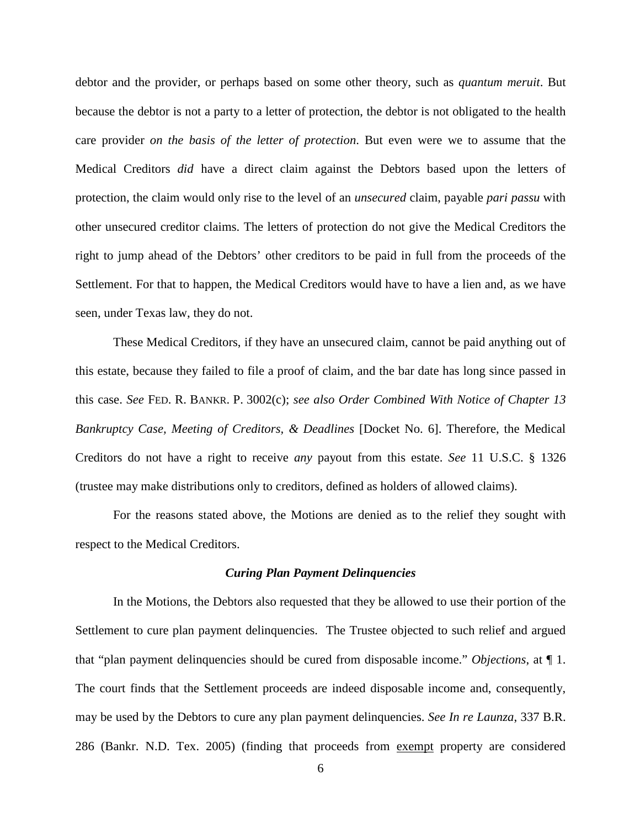debtor and the provider, or perhaps based on some other theory, such as *quantum meruit*. But because the debtor is not a party to a letter of protection, the debtor is not obligated to the health care provider *on the basis of the letter of protection*. But even were we to assume that the Medical Creditors *did* have a direct claim against the Debtors based upon the letters of protection, the claim would only rise to the level of an *unsecured* claim, payable *pari passu* with other unsecured creditor claims. The letters of protection do not give the Medical Creditors the right to jump ahead of the Debtors' other creditors to be paid in full from the proceeds of the Settlement. For that to happen, the Medical Creditors would have to have a lien and, as we have seen, under Texas law, they do not.

These Medical Creditors, if they have an unsecured claim, cannot be paid anything out of this estate, because they failed to file a proof of claim, and the bar date has long since passed in this case. *See* FED. R. BANKR. P. 3002(c); *see also Order Combined With Notice of Chapter 13 Bankruptcy Case, Meeting of Creditors, & Deadlines* [Docket No. 6]. Therefore, the Medical Creditors do not have a right to receive *any* payout from this estate. *See* 11 U.S.C. § 1326 (trustee may make distributions only to creditors, defined as holders of allowed claims).

For the reasons stated above, the Motions are denied as to the relief they sought with respect to the Medical Creditors.

#### *Curing Plan Payment Delinquencies*

In the Motions, the Debtors also requested that they be allowed to use their portion of the Settlement to cure plan payment delinquencies. The Trustee objected to such relief and argued that "plan payment delinquencies should be cured from disposable income." *Objections*, at ¶ 1. The court finds that the Settlement proceeds are indeed disposable income and, consequently, may be used by the Debtors to cure any plan payment delinquencies. *See In re Launza*, 337 B.R. 286 (Bankr. N.D. Tex. 2005) (finding that proceeds from exempt property are considered